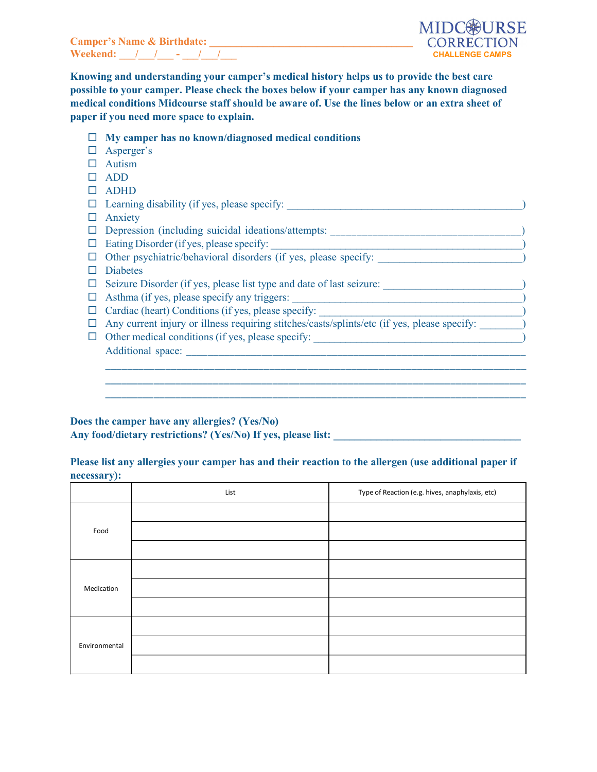Camper's Name & Birthdate: \_\_\_\_\_\_\_\_\_\_\_\_\_\_\_\_\_\_\_\_\_\_\_\_\_\_\_\_\_\_\_\_\_\_\_\_\_\_ Weekend:  $\frac{1}{2}$  /  $\frac{1}{2}$  - / /



Knowing and understanding your camper's medical history helps us to provide the best care possible to your camper. Please check the boxes below if your camper has any known diagnosed medical conditions Midcourse staff should be aware of. Use the lines below or an extra sheet of paper if you need more space to explain.

- $\Box$  My camper has no known/diagnosed medical conditions
- □ Asperger's
- Autism
- ADD
- ADHD

|        | $\Box$ Learning disability (if yes, please specify:                                         |
|--------|---------------------------------------------------------------------------------------------|
|        | Anxiety                                                                                     |
|        | Depression (including suicidal ideations/attempts:                                          |
| $\Box$ | Eating Disorder (if yes, please specify:                                                    |
|        | Other psychiatric/behavioral disorders (if yes, please specify:                             |
|        | <b>Diabetes</b>                                                                             |
|        | Seizure Disorder (if yes, please list type and date of last seizure:                        |
| $\Box$ | Asthma (if yes, please specify any triggers:                                                |
|        | Cardiac (heart) Conditions (if yes, please specify:                                         |
|        | Any current injury or illness requiring stitches/casts/splints/etc (if yes, please specify: |
|        | Other medical conditions (if yes, please specify:                                           |
|        | Additional space:                                                                           |
|        |                                                                                             |
|        |                                                                                             |
|        |                                                                                             |

## Does the camper have any allergies? (Yes/No) Any food/dietary restrictions? (Yes/No) If yes, please list:

## Please list any allergies your camper has and their reaction to the allergen (use additional paper if necessary):

|               | List | Type of Reaction (e.g. hives, anaphylaxis, etc) |
|---------------|------|-------------------------------------------------|
|               |      |                                                 |
| Food          |      |                                                 |
|               |      |                                                 |
|               |      |                                                 |
| Medication    |      |                                                 |
|               |      |                                                 |
|               |      |                                                 |
| Environmental |      |                                                 |
|               |      |                                                 |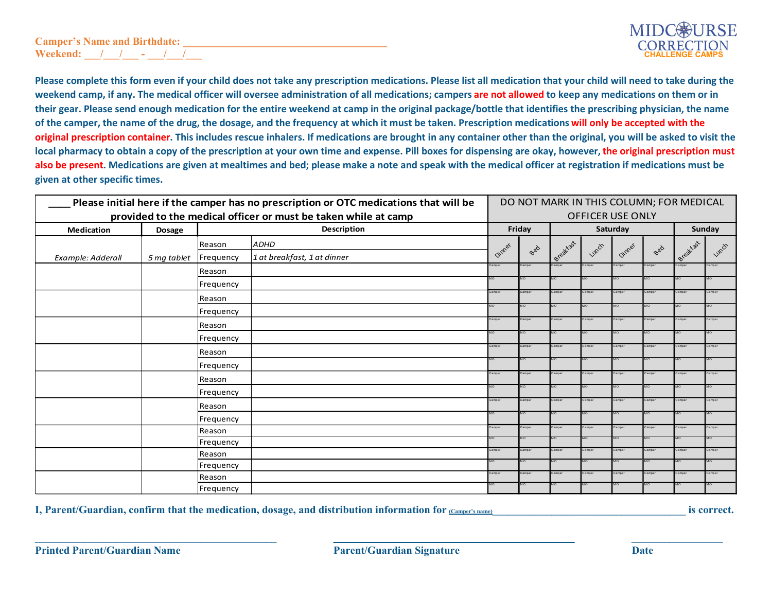## Camper's Name and Birthdate: Weekend:  $\sqrt{2}$  -  $\sqrt{2}$



Please complete this form even if your child does not take any prescription medications. Please list all medication that your child will need to take during the weekend camp, if any. The medical officer will oversee administration of all medications; campers are not allowed to keep any medications on them or in their gear. Please send enough medication for the entire weekend at camp in the original package/bottle that identifies the prescribing physician, the name of the camper, the name of the drug, the dosage, and the frequency at which it must be taken. Prescription medications will only be accepted with the original prescription container. This includes rescue inhalers. If medications are brought in any container other than the original, you will be asked to visit the local pharmacy to obtain a copy of the prescription at your own time and expense. Pill boxes for dispensing are okay, however, the original prescription must also be present. Medications are given at mealtimes and bed; please make a note and speak with the medical officer at registration if medications must be given at other specific times.

| Please initial here if the camper has no prescription or OTC medications that will be |               |             | DO NOT MARK IN THIS COLUMN; FOR MEDICAL |              |           |                     |                     |               |              |           |               |
|---------------------------------------------------------------------------------------|---------------|-------------|-----------------------------------------|--------------|-----------|---------------------|---------------------|---------------|--------------|-----------|---------------|
| provided to the medical officer or must be taken while at camp                        |               |             | <b>OFFICER USE ONLY</b>                 |              |           |                     |                     |               |              |           |               |
| <b>Medication</b>                                                                     | <b>Dosage</b> | Description |                                         |              | Friday    |                     |                     | Saturday      |              |           | Sunday        |
|                                                                                       |               | Reason      | <b>ADHD</b>                             |              |           |                     |                     |               | Bed          |           |               |
| Example: Adderall                                                                     | 5 mg tablet   | Frequency   | 1 at breakfast, 1 at dinner             | Dinner       | Bed       | Breakfast           | Lunch               | Dinner        |              | Breakfast | Lunch         |
|                                                                                       |               | Reason      |                                         | Camper       | amper     | Camper              | Camper              | Camper        | Camper       | Camper    | Camper        |
|                                                                                       |               | Frequency   |                                         | MO           |           | MO                  | <b>MO</b>           |               |              | $\Omega$  |               |
|                                                                                       |               | Reason      |                                         | Camper       | amper     | Camper              | amper               | damper        | Camper       | amper     | Camper        |
|                                                                                       |               | Frequency   |                                         | MО           | 10        | $\Omega$            | MO                  | OM.           | MO           | OM.       | OM            |
|                                                                                       |               | Reason      |                                         | Camper       | amper     | Camper              | amper               | Camper        | Camper       | amper     | Camper        |
|                                                                                       |               | Frequency   |                                         | MO           |           | MO.                 |                     | Ō             | 4Ó           |           | OM            |
|                                                                                       |               | Reason      |                                         | Camper       | amper     | Camper              | amper               | Camper        | Camper       | Camper    | Camper        |
|                                                                                       |               | Frequency   |                                         | MO           |           | <b>MO</b>           | <b>OM</b>           | <b>MO</b>     | MO           | <b>MO</b> | MО            |
|                                                                                       |               | Reason      |                                         | Camper       | amper     | Camper              | Camper              | Camper        | Camper       | Camper    | Camper        |
|                                                                                       |               | Frequency   |                                         | MO.          |           | <b>MO</b>           | MO.                 |               | MO.          |           | MO.           |
|                                                                                       |               | Reason      |                                         | Camper       | amper     | Camper              | Camper              | Camper        | Camper       | Camper    | Camper        |
|                                                                                       |               | Frequency   |                                         | и٥           |           | MO                  | ٨O                  | O             |              |           | OM.           |
|                                                                                       |               | Reason      |                                         | Camper       | amper     | Camper              | amper               | Camper        | Camper       |           | Camper        |
|                                                                                       |               | Frequency   |                                         | <b>MO</b>    | <b>OM</b> | MO                  | <b>OM</b>           | OM.           | MО           |           | мo            |
|                                                                                       |               | Reason      |                                         | Camper<br>MO | Camper    | Camper<br><b>MO</b> | Camper<br><b>MO</b> | Camper<br>OM. | Camper<br>MO | Camper    | Camper<br>MO. |
|                                                                                       |               | Frequency   |                                         | Camper       | amper     | Camper              | Camper              | Camper        | Camper       | Camper    | Camper        |
|                                                                                       |               | Reason      |                                         | MO           | MO        | <b>MO</b>           | MO.                 | MО            | MO           | MO        | MO            |
|                                                                                       |               | Frequency   |                                         |              |           |                     |                     |               |              |           |               |

I, Parent/Guardian, confirm that the medication, dosage, and distribution information for  $(Campere's name)$  is correct.

 $\Box$